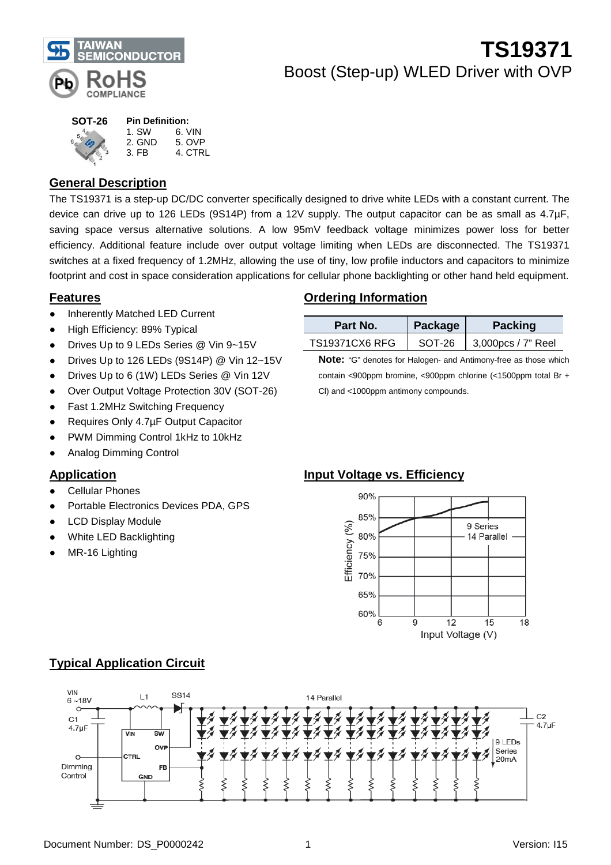

#### **SOT-26** 1. SW 6. VIN<br>2. GND 5. OVP **Pin Definition:** 1. SW 6. VIN<br>2. GND 5. OVE

3. FB 4. CTRL

## **General Description**

The TS19371 is a step-up DC/DC converter specifically designed to drive white LEDs with a constant current. The device can drive up to 126 LEDs (9S14P) from a 12V supply. The output capacitor can be as small as 4.7µF, saving space versus alternative solutions. A low 95mV feedback voltage minimizes power loss for better efficiency. Additional feature include over output voltage limiting when LEDs are disconnected. The TS19371 switches at a fixed frequency of 1.2MHz, allowing the use of tiny, low profile inductors and capacitors to minimize footprint and cost in space consideration applications for cellular phone backlighting or other hand held equipment.

### **Features**

- **Inherently Matched LED Current**
- High Efficiency: 89% Typical
- Drives Up to 9 LEDs Series @ Vin 9~15V
- Drives Up to 126 LEDs (9S14P) @ Vin 12~15V
- Drives Up to 6 (1W) LEDs Series @ Vin 12V
- Over Output Voltage Protection 30V (SOT-26)
- Fast 1.2MHz Switching Frequency
- Requires Only 4.7µF Output Capacitor
- PWM Dimming Control 1kHz to 10kHz
- Analog Dimming Control

### **Application**

- Cellular Phones
- Portable Electronics Devices PDA, GPS
- **LCD Display Module**
- White LED Backlighting
- MR-16 Lighting

## **Ordering Information**

| Part No.              | Package | <b>Packing</b>     |
|-----------------------|---------|--------------------|
| <b>TS19371CX6 RFG</b> | SOT-26  | 3,000pcs / 7" Reel |

**Note:** "G" denotes for Halogen- and Antimony-free as those which contain <900ppm bromine, <900ppm chlorine (<1500ppm total Br + Cl) and <1000ppm antimony compounds.

### **Input Voltage vs. Efficiency**





## **Typical Application Circuit**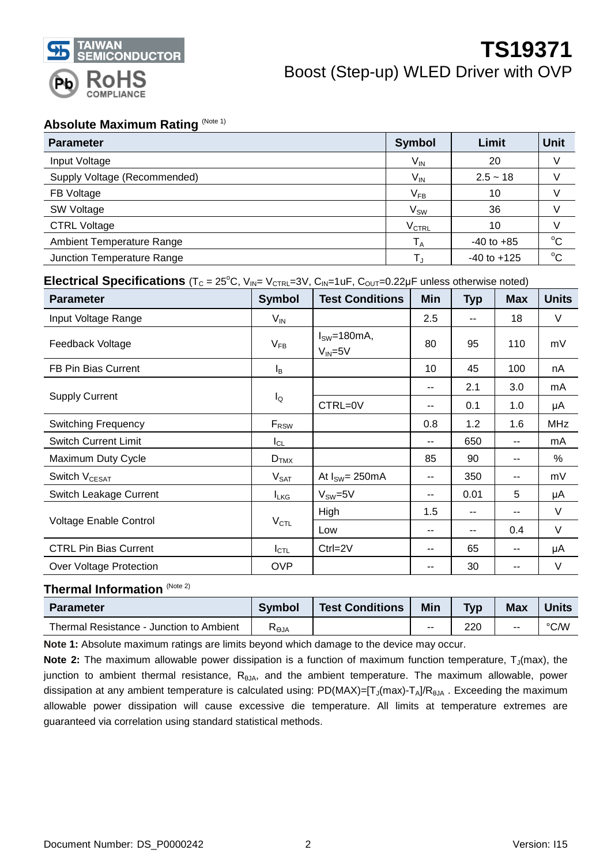

### **Absolute Maximum Rating (Note 1)**

| <b>Parameter</b>                 | <b>Symbol</b>  | Limit           | Unit        |
|----------------------------------|----------------|-----------------|-------------|
| Input Voltage                    | $V_{IN}$       | 20              |             |
| Supply Voltage (Recommended)     | $V_{IN}$       | $2.5 - 18$      |             |
| FB Voltage                       | $V_{FB}$       | 10              |             |
| SW Voltage                       | $V_{SW}$       | 36              |             |
| <b>CTRL Voltage</b>              | $\rm V_{CTRL}$ | 10              |             |
| <b>Ambient Temperature Range</b> | $T_A$          | $-40$ to $+85$  | $^{\circ}C$ |
| Junction Temperature Range       | $T_{\text{J}}$ | $-40$ to $+125$ | $^{\circ}C$ |

### **Electrical Specifications** ( $T_c = 25^\circ C$ ,  $V_{IN} = V_{CTRL} = 3V$ ,  $C_{IN} = 1uF$ ,  $C_{OUT} = 0.22\mu F$  unless otherwise noted)

| <b>Parameter</b>              | <b>Symbol</b>    | <b>Test Conditions</b>        | Min | <b>Typ</b> | <b>Max</b> | <b>Units</b> |
|-------------------------------|------------------|-------------------------------|-----|------------|------------|--------------|
| Input Voltage Range           | $V_{IN}$         |                               | 2.5 | --         | 18         | V            |
| Feedback Voltage              | $V_{FB}$         | $ISW=180mA,$<br>$V_{IN} = 5V$ | 80  | 95         | 110        | mV           |
| FB Pin Bias Current           | l <sub>B</sub>   |                               | 10  | 45         | 100        | nA           |
|                               |                  |                               | --  | 2.1        | 3.0        | mA           |
| <b>Supply Current</b>         | $I_{\mathsf{Q}}$ | CTRL=0V                       | --  | 0.1        | 1.0        | μA           |
| <b>Switching Frequency</b>    | $F_{\rm RSW}$    |                               | 0.8 | 1.2        | 1.6        | <b>MHz</b>   |
| <b>Switch Current Limit</b>   | $I_{CL}$         |                               | --  | 650        | --         | mA           |
| Maximum Duty Cycle            | $D_{TMX}$        |                               | 85  | 90         | --         | $\%$         |
| Switch V <sub>CESAT</sub>     | $V_{\text{SAT}}$ | At $I_{SW} = 250 \text{mA}$   | --  | 350        | --         | mV           |
| Switch Leakage Current        | $I_{LKG}$        | $V_{SW}=5V$                   | --  | 0.01       | 5          | μA           |
|                               |                  | High                          | 1.5 | --         | --         | $\vee$       |
| <b>Voltage Enable Control</b> | $V_{\text{CTL}}$ | Low                           | --  | --         | 0.4        | V            |
| <b>CTRL Pin Bias Current</b>  | $I_{\text{CTL}}$ | $Ctrl = 2V$                   | --  | 65         | --         | μA           |
| Over Voltage Protection       | <b>OVP</b>       |                               | --  | 30         | --         | V            |

#### **Thermal Information** (Note 2)

| <b>Parameter</b>                         | Symbol | <b>Test Conditions</b> | <b>Min</b> | <b>Typ</b> | <b>Max</b> | Units |
|------------------------------------------|--------|------------------------|------------|------------|------------|-------|
| Thermal Resistance - Junction to Ambient | Keja   |                        | $-$        | 220        | $-$        | °C/W  |

**Note 1:** Absolute maximum ratings are limits beyond which damage to the device may occur.

**Note 2:** The maximum allowable power dissipation is a function of maximum function temperature, T<sub>J</sub>(max), the junction to ambient thermal resistance, R<sub>θJA</sub>, and the ambient temperature. The maximum allowable, power dissipation at any ambient temperature is calculated using:  $PD(MAX)=[T_J(max)-T_A]/R_{\thetaJA}$ . Exceeding the maximum allowable power dissipation will cause excessive die temperature. All limits at temperature extremes are guaranteed via correlation using standard statistical methods.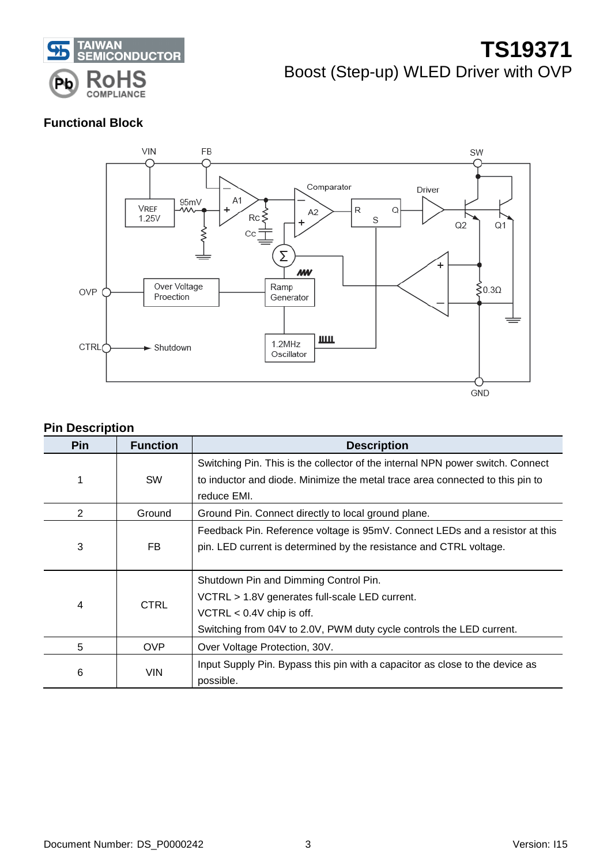

## **Functional Block**



## **Pin Description**

| <b>Pin</b>     | <b>Function</b> | <b>Description</b>                                                                                                                                                                             |
|----------------|-----------------|------------------------------------------------------------------------------------------------------------------------------------------------------------------------------------------------|
| 1              | <b>SW</b>       | Switching Pin. This is the collector of the internal NPN power switch. Connect<br>to inductor and diode. Minimize the metal trace area connected to this pin to<br>reduce EMI.                 |
| 2              | Ground          | Ground Pin. Connect directly to local ground plane.                                                                                                                                            |
| 3              | FB              | Feedback Pin. Reference voltage is 95mV. Connect LEDs and a resistor at this<br>pin. LED current is determined by the resistance and CTRL voltage.                                             |
| $\overline{4}$ | <b>CTRL</b>     | Shutdown Pin and Dimming Control Pin.<br>VCTRL > 1.8V generates full-scale LED current.<br>VCTRL $< 0.4V$ chip is off.<br>Switching from 04V to 2.0V, PWM duty cycle controls the LED current. |
| 5              | <b>OVP</b>      | Over Voltage Protection, 30V.                                                                                                                                                                  |
| 6              | <b>VIN</b>      | Input Supply Pin. Bypass this pin with a capacitor as close to the device as<br>possible.                                                                                                      |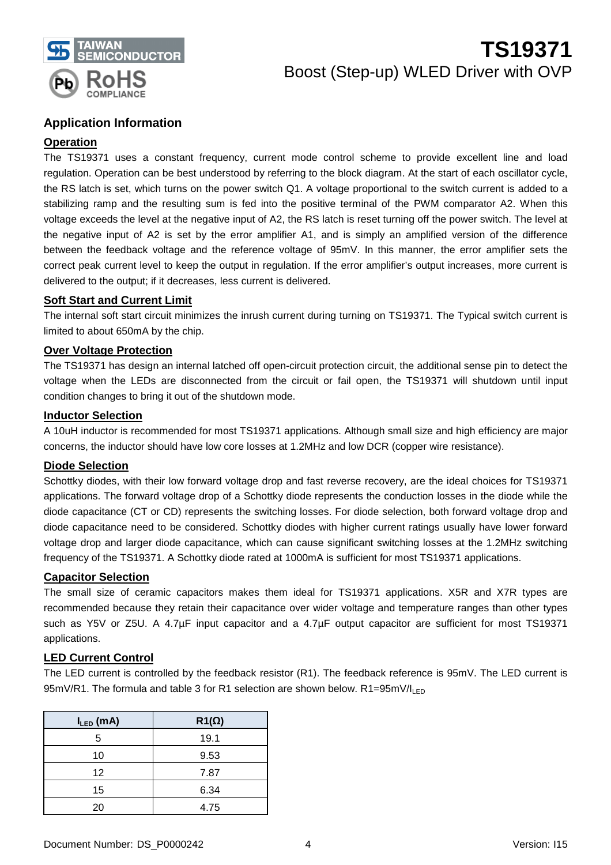

### **Application Information**

#### **Operation**

The TS19371 uses a constant frequency, current mode control scheme to provide excellent line and load regulation. Operation can be best understood by referring to the block diagram. At the start of each oscillator cycle, the RS latch is set, which turns on the power switch Q1. A voltage proportional to the switch current is added to a stabilizing ramp and the resulting sum is fed into the positive terminal of the PWM comparator A2. When this voltage exceeds the level at the negative input of A2, the RS latch is reset turning off the power switch. The level at the negative input of A2 is set by the error amplifier A1, and is simply an amplified version of the difference between the feedback voltage and the reference voltage of 95mV. In this manner, the error amplifier sets the correct peak current level to keep the output in regulation. If the error amplifier's output increases, more current is delivered to the output; if it decreases, less current is delivered.

#### **Soft Start and Current Limit**

The internal soft start circuit minimizes the inrush current during turning on TS19371. The Typical switch current is limited to about 650mA by the chip.

#### **Over Voltage Protection**

The TS19371 has design an internal latched off open-circuit protection circuit, the additional sense pin to detect the voltage when the LEDs are disconnected from the circuit or fail open, the TS19371 will shutdown until input condition changes to bring it out of the shutdown mode.

#### **Inductor Selection**

A 10uH inductor is recommended for most TS19371 applications. Although small size and high efficiency are major concerns, the inductor should have low core losses at 1.2MHz and low DCR (copper wire resistance).

#### **Diode Selection**

Schottky diodes, with their low forward voltage drop and fast reverse recovery, are the ideal choices for TS19371 applications. The forward voltage drop of a Schottky diode represents the conduction losses in the diode while the diode capacitance (CT or CD) represents the switching losses. For diode selection, both forward voltage drop and diode capacitance need to be considered. Schottky diodes with higher current ratings usually have lower forward voltage drop and larger diode capacitance, which can cause significant switching losses at the 1.2MHz switching frequency of the TS19371. A Schottky diode rated at 1000mA is sufficient for most TS19371 applications.

#### **Capacitor Selection**

The small size of ceramic capacitors makes them ideal for TS19371 applications. X5R and X7R types are recommended because they retain their capacitance over wider voltage and temperature ranges than other types such as Y5V or Z5U. A 4.7µF input capacitor and a 4.7µF output capacitor are sufficient for most TS19371 applications.

#### **LED Current Control**

The LED current is controlled by the feedback resistor (R1). The feedback reference is 95mV. The LED current is 95mV/R1. The formula and table 3 for R1 selection are shown below.  $R1=95mV/I<sub>LED</sub>$ 

| $I_{LED}$ (mA) | $R1(\Omega)$ |
|----------------|--------------|
| 5              | 19.1         |
| 10             | 9.53         |
| 12             | 7.87         |
| 15             | 6.34         |
| 20             | 4.75         |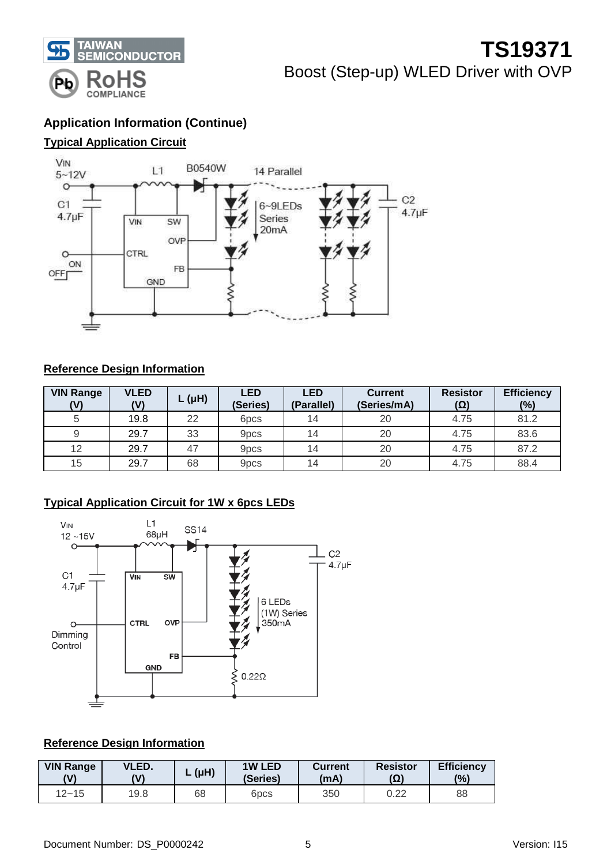

## **Application Information (Continue)**

## **Typical Application Circuit**



### **Reference Design Information**

| <b>VIN Range</b><br>(V) | <b>VLED</b><br>(V) | $L(\mu H)$ | <b>LED</b><br>(Series) | <b>LED</b><br>(Parallel) | <b>Current</b><br>(Series/mA) | <b>Resistor</b><br>(Ω) | <b>Efficiency</b><br>$(\%)$ |
|-------------------------|--------------------|------------|------------------------|--------------------------|-------------------------------|------------------------|-----------------------------|
|                         | 19.8               | 22         | 6 <sub>pcs</sub>       | 14                       | 20                            | 4.75                   | 81.2                        |
|                         | 29.7               | 33         | 9 <sub>pcs</sub>       | 14                       | 20                            | 4.75                   | 83.6                        |
| 12                      | 29.7               | 47         | 9 <sub>pcs</sub>       | 14                       | 20                            | 4.75                   | 87.2                        |
| 15                      | 29.7               | 68         | 9 <sub>pcs</sub>       | 14                       | 20                            | 4.75                   | 88.4                        |

## **Typical Application Circuit for 1W x 6pcs LEDs**



#### **Reference Design Information**

| <b>VIN Range</b> | VLED. | $(\mu H)$ | <b>1W LED</b>    | <b>Current</b> | <b>Resistor</b> | <b>Efficiency</b> |
|------------------|-------|-----------|------------------|----------------|-----------------|-------------------|
| W١               | (V)   |           | (Series)         | (mA)           | $(\Omega)$      | (9)               |
| $12 - 15$        | 19.8  | 68        | 6 <sub>pcs</sub> | 350            | 0.22            | 88                |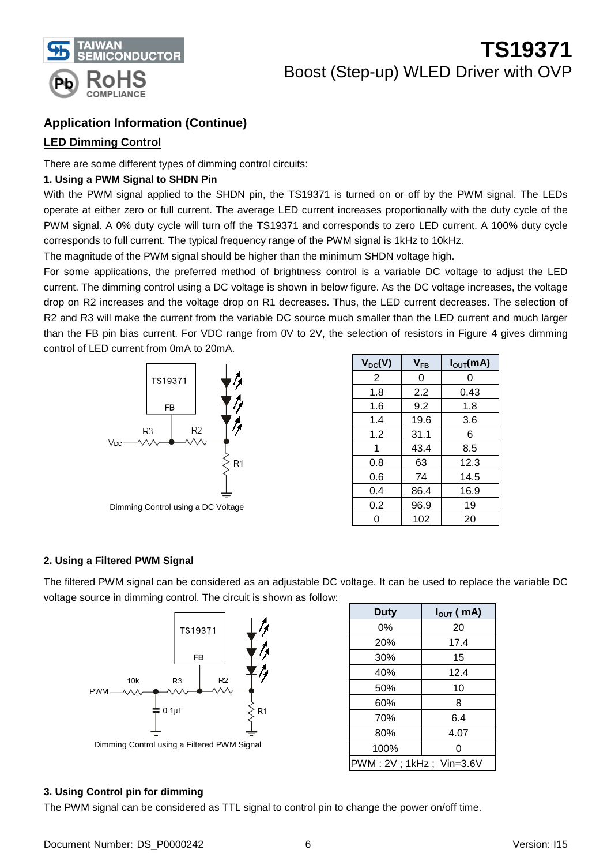

## **Application Information (Continue)**

### **LED Dimming Control**

There are some different types of dimming control circuits:

#### **1. Using a PWM Signal to SHDN Pin**

With the PWM signal applied to the SHDN pin, the TS19371 is turned on or off by the PWM signal. The LEDs operate at either zero or full current. The average LED current increases proportionally with the duty cycle of the PWM signal. A 0% duty cycle will turn off the TS19371 and corresponds to zero LED current. A 100% duty cycle corresponds to full current. The typical frequency range of the PWM signal is 1kHz to 10kHz.

The magnitude of the PWM signal should be higher than the minimum SHDN voltage high.

For some applications, the preferred method of brightness control is a variable DC voltage to adjust the LED current. The dimming control using a DC voltage is shown in below figure. As the DC voltage increases, the voltage drop on R2 increases and the voltage drop on R1 decreases. Thus, the LED current decreases. The selection of R2 and R3 will make the current from the variable DC source much smaller than the LED current and much larger than the FB pin bias current. For VDC range from 0V to 2V, the selection of resistors in Figure 4 gives dimming control of LED current from 0mA to 20mA.



| $V_{DC}(V)$ | $V_{FB}$ | $I_{\text{OUT}}(mA)$ |
|-------------|----------|----------------------|
| 2           | 0        | ი                    |
| 1.8         | 2.2      | 0.43                 |
| 1.6         | 9.2      | 1.8                  |
| 1.4         | 19.6     | 3.6                  |
| 1.2         | 31.1     | 6                    |
| 1           | 43.4     | 8.5                  |
| 0.8         | 63       | 12.3                 |
| 0.6         | 74       | 14.5                 |
| 0.4         | 86.4     | 16.9                 |
| 0.2         | 96.9     | 19                   |
| ი           | 102      | 20                   |

#### **2. Using a Filtered PWM Signal**

The filtered PWM signal can be considered as an adjustable DC voltage. It can be used to replace the variable DC voltage source in dimming control. The circuit is shown as follow:



| <b>Duty</b>             | $I_{\text{OUT}}(mA)$ |
|-------------------------|----------------------|
| 0%                      | 20                   |
| 20%                     | 17.4                 |
| 30%                     | 15                   |
| 40%                     | 12.4                 |
| 50%                     | 10                   |
| 60%                     | 8                    |
| 70%                     | 6.4                  |
| 80%                     | 4.07                 |
| 100%                    | 0                    |
| PWM: 2V; 1kHz; Vin=3.6V |                      |

#### **3. Using Control pin for dimming**

The PWM signal can be considered as TTL signal to control pin to change the power on/off time.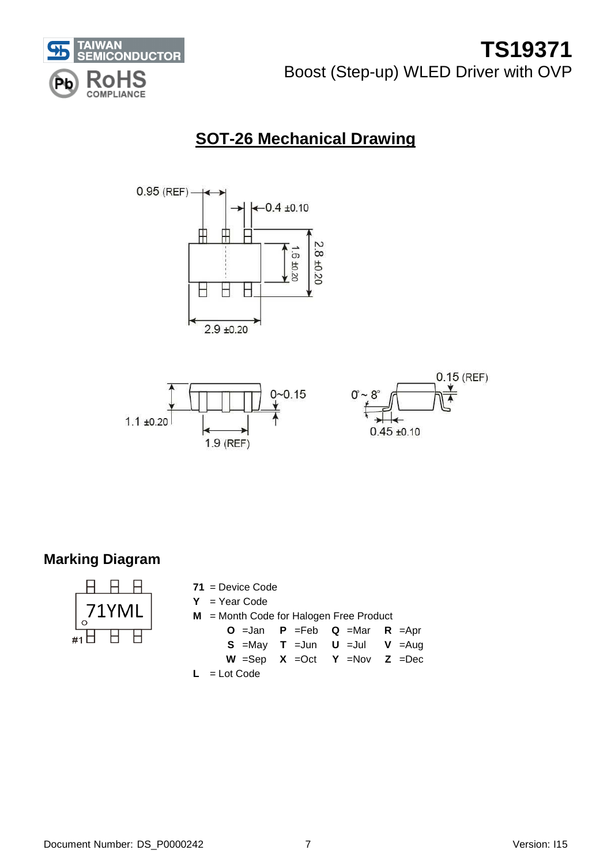

## **SOT-26 Mechanical Drawing**





## **Marking Diagram**



| $71$ = Device Code                        |                                                             |  |
|-------------------------------------------|-------------------------------------------------------------|--|
| $Y = Year Code$                           |                                                             |  |
| $M =$ Month Code for Halogen Free Product |                                                             |  |
|                                           | <b>O</b> = Jan <b>P</b> = Feb <b>Q</b> = Mar <b>R</b> = Apr |  |
|                                           | <b>S</b> =May <b>T</b> =Jun <b>U</b> =Jul <b>V</b> =Aug     |  |
|                                           | $W = Sep$ $X =Oct$ $Y = Nov$ $Z =Dec$                       |  |
| $L = L$ ot Code                           |                                                             |  |